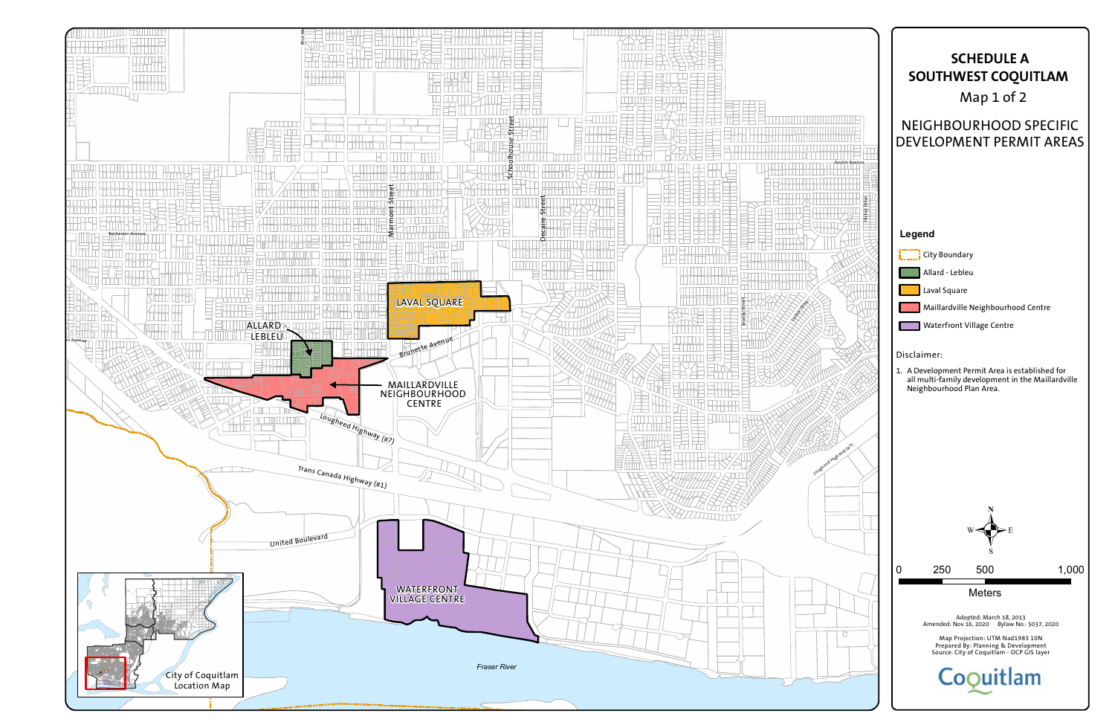